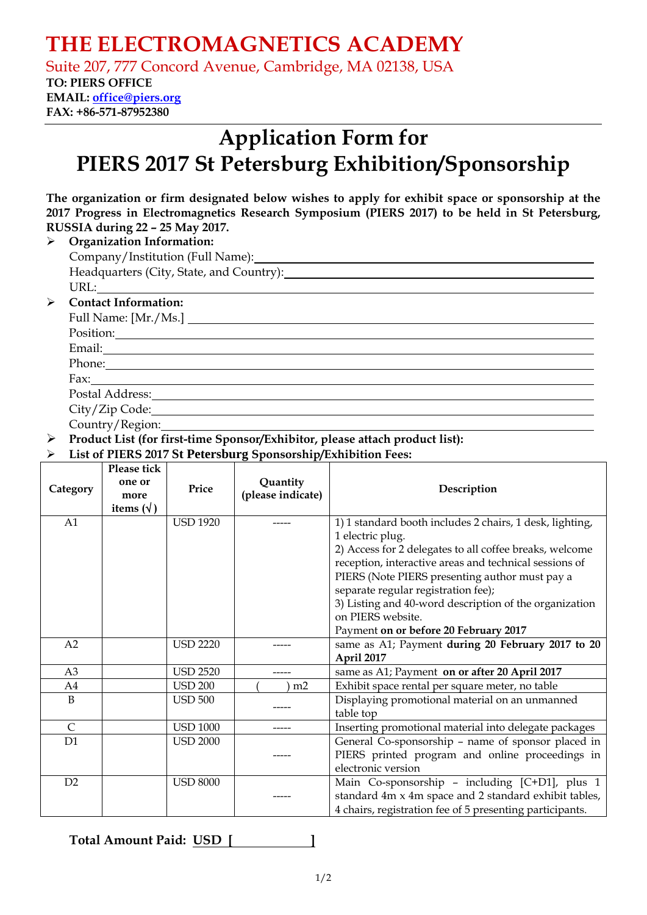## **THE ELECTROMAGNETICS ACADEMY**

Suite 207, 777 Concord Avenue, Cambridge, MA 02138, USA

### **TO: PIERS OFFICE**

**EMAIL: office@piers.org FAX: +86-571-87952380** 

# **Application Form for PIERS 2017 St Petersburg Exhibition/Sponsorship**

| The organization or firm designated below wishes to apply for exhibit space or sponsorship at the |  |
|---------------------------------------------------------------------------------------------------|--|
| 2017 Progress in Electromagnetics Research Symposium (PIERS 2017) to be held in St Petersburg,    |  |
| RUSSIA during 22 - 25 May 2017.                                                                   |  |

#### ¾ **Organization Information:**  Company/Institution (Full Name): Headquarters (City, State, and Country): URL: ¾ **Contact Information:**  Full Name: [Mr./Ms.] Position: New York Contract the Contract of the Contract of the Contract of the Contract of the Contract of the Contract of the Contract of the Contract of the Contract of the Contract of the Contract of the Contract of th Email:

Phone: Fax:

Postal Address: City/Zip Code:

Country/Region:

¾ **Product List (for first-time Sponsor/Exhibitor, please attach product list):**

#### ¾ **List of PIERS 2017 St Petersburg Sponsorship/Exhibition Fees:**

| Category       | Please tick<br>one or<br>more<br>items $(\forall)$ | Price           | Quantity<br>(please indicate) | Description                                              |
|----------------|----------------------------------------------------|-----------------|-------------------------------|----------------------------------------------------------|
| A1             |                                                    | <b>USD 1920</b> |                               | 1) 1 standard booth includes 2 chairs, 1 desk, lighting, |
|                |                                                    |                 |                               | 1 electric plug.                                         |
|                |                                                    |                 |                               | 2) Access for 2 delegates to all coffee breaks, welcome  |
|                |                                                    |                 |                               | reception, interactive areas and technical sessions of   |
|                |                                                    |                 |                               | PIERS (Note PIERS presenting author must pay a           |
|                |                                                    |                 |                               | separate regular registration fee);                      |
|                |                                                    |                 |                               | 3) Listing and 40-word description of the organization   |
|                |                                                    |                 |                               | on PIERS website.                                        |
|                |                                                    |                 |                               | Payment on or before 20 February 2017                    |
| A <sub>2</sub> |                                                    | <b>USD 2220</b> |                               | same as A1; Payment during 20 February 2017 to 20        |
|                |                                                    |                 |                               | April 2017                                               |
| A <sub>3</sub> |                                                    | <b>USD 2520</b> |                               | same as A1; Payment on or after 20 April 2017            |
| A4             |                                                    | <b>USD 200</b>  | m2                            | Exhibit space rental per square meter, no table          |
| B              |                                                    | <b>USD 500</b>  |                               | Displaying promotional material on an unmanned           |
|                |                                                    |                 |                               | table top                                                |
| $\mathsf{C}$   |                                                    | <b>USD 1000</b> |                               | Inserting promotional material into delegate packages    |
| D1             |                                                    | <b>USD 2000</b> |                               | General Co-sponsorship - name of sponsor placed in       |
|                |                                                    |                 |                               | PIERS printed program and online proceedings in          |
|                |                                                    |                 |                               | electronic version                                       |
| D2             |                                                    | <b>USD 8000</b> |                               | Main Co-sponsorship - including [C+D1], plus 1           |
|                |                                                    |                 |                               | standard 4m x 4m space and 2 standard exhibit tables,    |
|                |                                                    |                 |                               | 4 chairs, registration fee of 5 presenting participants. |

**Total Amount Paid: USD [ ]**